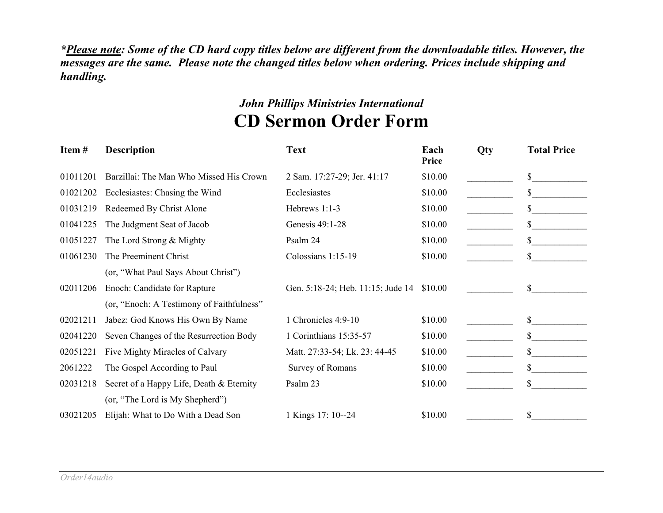*\*Please note: Some of the CD hard copy titles below are different from the downloadable titles. However, the messages are the same. Please note the changed titles below when ordering. Prices include shipping and handling.*

## *John Phillips Ministries International* **CD Sermon Order Form**

| Item#    | <b>Description</b>                        | <b>Text</b>                               | Each<br>Price | <b>Qty</b> | <b>Total Price</b> |
|----------|-------------------------------------------|-------------------------------------------|---------------|------------|--------------------|
| 01011201 | Barzillai: The Man Who Missed His Crown   | 2 Sam. 17:27-29; Jer. 41:17               | \$10.00       |            | \$                 |
| 01021202 | Ecclesiastes: Chasing the Wind            | Ecclesiastes                              | \$10.00       |            | \$                 |
| 01031219 | Redeemed By Christ Alone                  | Hebrews 1:1-3                             | \$10.00       |            | \$                 |
| 01041225 | The Judgment Seat of Jacob                | Genesis 49:1-28                           | \$10.00       |            | \$                 |
| 01051227 | The Lord Strong & Mighty                  | Psalm 24                                  | \$10.00       |            | \$                 |
| 01061230 | The Preeminent Christ                     | Colossians 1:15-19                        | \$10.00       |            | \$                 |
|          | (or, "What Paul Says About Christ")       |                                           |               |            |                    |
| 02011206 | Enoch: Candidate for Rapture              | Gen. 5:18-24; Heb. 11:15; Jude 14 \$10.00 |               |            | \$                 |
|          | (or, "Enoch: A Testimony of Faithfulness" |                                           |               |            |                    |
| 02021211 | Jabez: God Knows His Own By Name          | 1 Chronicles 4:9-10                       | \$10.00       |            | \$                 |
| 02041220 | Seven Changes of the Resurrection Body    | 1 Corinthians 15:35-57                    | \$10.00       |            | \$                 |
| 02051221 | Five Mighty Miracles of Calvary           | Matt. 27:33-54; Lk. 23: 44-45             | \$10.00       |            | \$                 |
| 2061222  | The Gospel According to Paul              | Survey of Romans                          | \$10.00       |            | $\mathbb{S}$       |
| 02031218 | Secret of a Happy Life, Death & Eternity  | Psalm 23                                  | \$10.00       |            | \$                 |
|          | (or, "The Lord is My Shepherd")           |                                           |               |            |                    |
| 03021205 | Elijah: What to Do With a Dead Son        | 1 Kings 17: 10--24                        | \$10.00       |            | \$                 |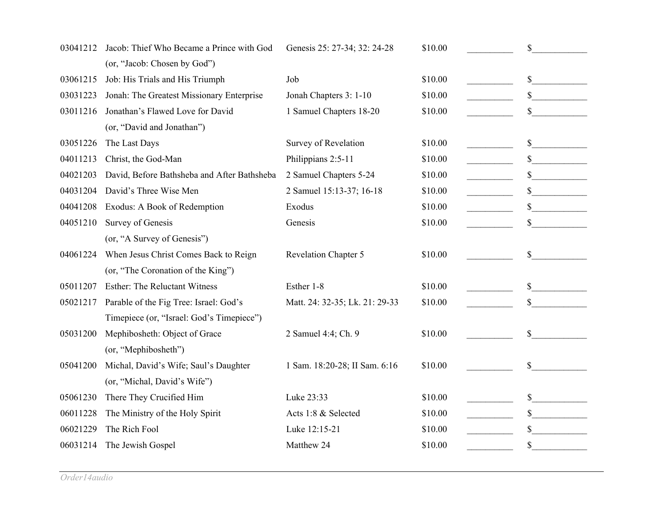| 03041212 | Jacob: Thief Who Became a Prince with God   | Genesis 25: 27-34; 32: 24-28   | \$10.00 | \$           |
|----------|---------------------------------------------|--------------------------------|---------|--------------|
|          | (or, "Jacob: Chosen by God")                |                                |         |              |
| 03061215 | Job: His Trials and His Triumph             | Job                            | \$10.00 | \$           |
| 03031223 | Jonah: The Greatest Missionary Enterprise   | Jonah Chapters 3: 1-10         | \$10.00 | \$           |
| 03011216 | Jonathan's Flawed Love for David            | 1 Samuel Chapters 18-20        | \$10.00 | \$           |
|          | (or, "David and Jonathan")                  |                                |         |              |
| 03051226 | The Last Days                               | Survey of Revelation           | \$10.00 | \$           |
| 04011213 | Christ, the God-Man                         | Philippians 2:5-11             | \$10.00 | $\mathbb{S}$ |
| 04021203 | David, Before Bathsheba and After Bathsheba | 2 Samuel Chapters 5-24         | \$10.00 | \$           |
| 04031204 | David's Three Wise Men                      | 2 Samuel 15:13-37; 16-18       | \$10.00 | \$           |
| 04041208 | Exodus: A Book of Redemption                | Exodus                         | \$10.00 | \$           |
| 04051210 | Survey of Genesis                           | Genesis                        | \$10.00 | \$           |
|          | (or, "A Survey of Genesis")                 |                                |         |              |
| 04061224 | When Jesus Christ Comes Back to Reign       | <b>Revelation Chapter 5</b>    | \$10.00 | \$           |
|          | (or, "The Coronation of the King")          |                                |         |              |
| 05011207 | <b>Esther: The Reluctant Witness</b>        | Esther 1-8                     | \$10.00 | \$           |
| 05021217 | Parable of the Fig Tree: Israel: God's      | Matt. 24: 32-35; Lk. 21: 29-33 | \$10.00 | \$           |
|          | Timepiece (or, "Israel: God's Timepiece")   |                                |         |              |
| 05031200 | Mephibosheth: Object of Grace               | 2 Samuel 4:4; Ch. 9            | \$10.00 | $\mathbb{S}$ |
|          | (or, "Mephibosheth")                        |                                |         |              |
| 05041200 | Michal, David's Wife; Saul's Daughter       | 1 Sam. 18:20-28; II Sam. 6:16  | \$10.00 | \$           |
|          | (or, "Michal, David's Wife")                |                                |         |              |
| 05061230 | There They Crucified Him                    | Luke 23:33                     | \$10.00 | \$           |
| 06011228 | The Ministry of the Holy Spirit             | Acts 1:8 & Selected            | \$10.00 | $\mathbb{S}$ |
| 06021229 | The Rich Fool                               | Luke 12:15-21                  | \$10.00 | \$           |
| 06031214 | The Jewish Gospel                           | Matthew 24                     | \$10.00 | \$           |
|          |                                             |                                |         |              |